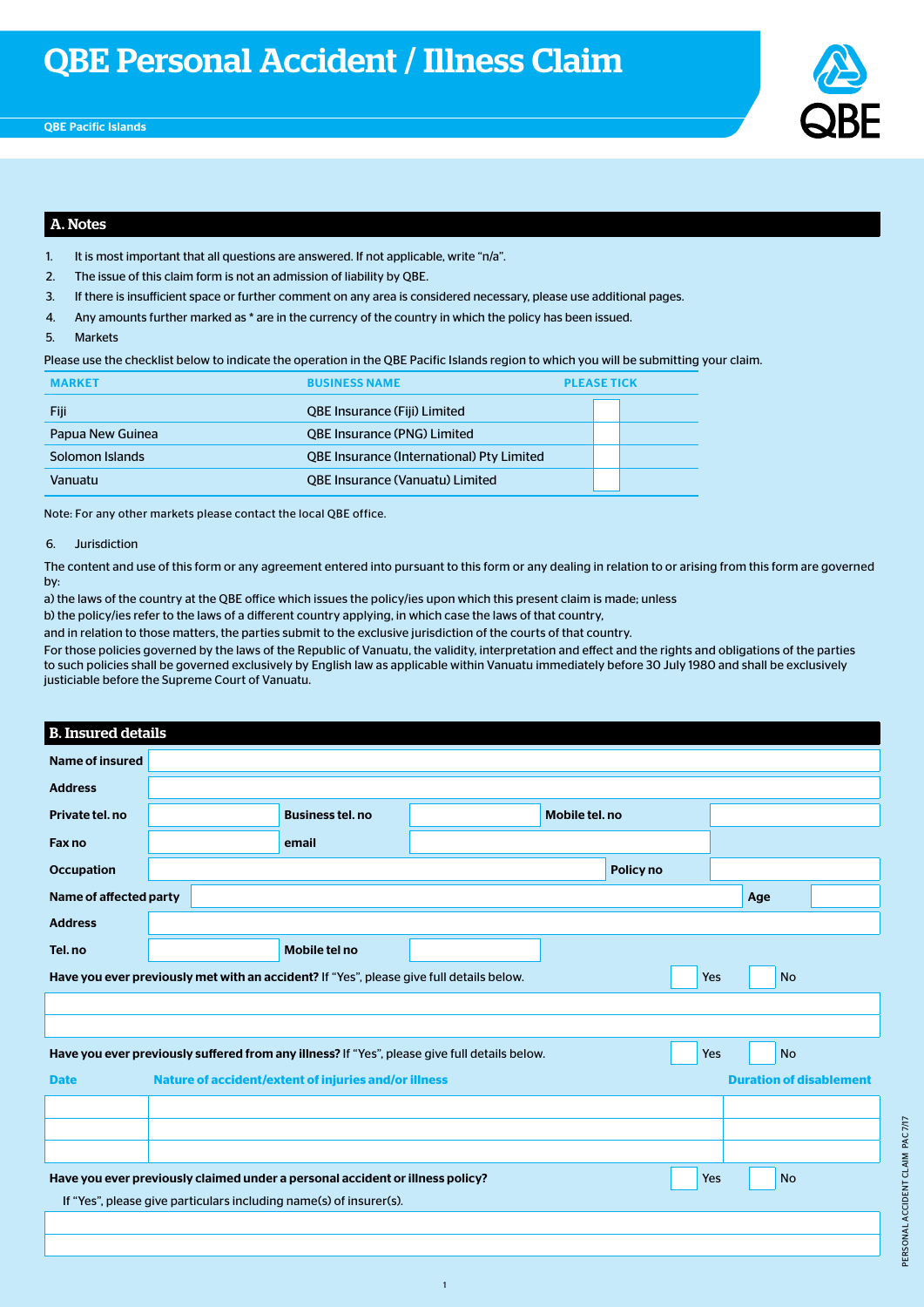

### A. Notes

- 1. It is most important that all questions are answered. If not applicable, write "n/a".
- 2. The issue of this claim form is not an admission of liability by QBE.
- 3. If there is insufficient space or further comment on any area is considered necessary, please use additional pages.
- 4. Any amounts further marked as \* are in the currency of the country in which the policy has been issued.
- 5. Markets

Please use the checklist below to indicate the operation in the QBE Pacific Islands region to which you will be submitting your claim.

| <b>MARKET</b>    | <b>BUSINESS NAME</b>                             | <b>PLEASE TICK</b> |  |
|------------------|--------------------------------------------------|--------------------|--|
| Fiji             | <b>QBE Insurance (Fiji) Limited</b>              |                    |  |
| Papua New Guinea | <b>QBE Insurance (PNG) Limited</b>               |                    |  |
| Solomon Islands  | <b>QBE Insurance (International) Pty Limited</b> |                    |  |
| Vanuatu          | <b>QBE Insurance (Vanuatu) Limited</b>           |                    |  |

Note: For any other markets please contact the local QBE office.

#### 6. Jurisdiction

The content and use of this form or any agreement entered into pursuant to this form or any dealing in relation to or arising from this form are governed by:

a) the laws of the country at the QBE office which issues the policy/ies upon which this present claim is made; unless

b) the policy/ies refer to the laws of a different country applying, in which case the laws of that country,

and in relation to those matters, the parties submit to the exclusive jurisdiction of the courts of that country.

For those policies governed by the laws of the Republic of Vanuatu, the validity, interpretation and effect and the rights and obligations of the parties to such policies shall be governed exclusively by English law as applicable within Vanuatu immediately before 30 July 1980 and shall be exclusively justiciable before the Supreme Court of Vanuatu.

#### B. Insured details

| Name of insured                                                                                   |  |  |                                                                                          |                                                                                               |  |           |     |                                |  |
|---------------------------------------------------------------------------------------------------|--|--|------------------------------------------------------------------------------------------|-----------------------------------------------------------------------------------------------|--|-----------|-----|--------------------------------|--|
| <b>Address</b>                                                                                    |  |  |                                                                                          |                                                                                               |  |           |     |                                |  |
| Private tel. no                                                                                   |  |  |                                                                                          |                                                                                               |  |           |     |                                |  |
| Fax no                                                                                            |  |  | email                                                                                    |                                                                                               |  |           |     |                                |  |
| Occupation                                                                                        |  |  |                                                                                          |                                                                                               |  | Policy no |     |                                |  |
| Name of affected party                                                                            |  |  |                                                                                          |                                                                                               |  |           |     | Age                            |  |
| <b>Address</b>                                                                                    |  |  |                                                                                          |                                                                                               |  |           |     |                                |  |
| Tel. no                                                                                           |  |  | Mobile tel no                                                                            |                                                                                               |  |           |     |                                |  |
|                                                                                                   |  |  | Have you ever previously met with an accident? If "Yes", please give full details below. |                                                                                               |  |           | Yes | <b>No</b>                      |  |
|                                                                                                   |  |  |                                                                                          |                                                                                               |  |           |     |                                |  |
|                                                                                                   |  |  |                                                                                          |                                                                                               |  |           |     |                                |  |
|                                                                                                   |  |  |                                                                                          | Have you ever previously suffered from any illness? If "Yes", please give full details below. |  |           | Yes | <b>No</b>                      |  |
| <b>Date</b>                                                                                       |  |  | Nature of accident/extent of injuries and/or illness                                     |                                                                                               |  |           |     | <b>Duration of disablement</b> |  |
|                                                                                                   |  |  |                                                                                          |                                                                                               |  |           |     |                                |  |
|                                                                                                   |  |  |                                                                                          |                                                                                               |  |           |     |                                |  |
|                                                                                                   |  |  |                                                                                          |                                                                                               |  |           |     |                                |  |
| Have you ever previously claimed under a personal accident or illness policy?<br><b>No</b><br>Yes |  |  |                                                                                          |                                                                                               |  |           |     |                                |  |
|                                                                                                   |  |  | If "Yes", please give particulars including name(s) of insurer(s).                       |                                                                                               |  |           |     |                                |  |
|                                                                                                   |  |  |                                                                                          |                                                                                               |  |           |     |                                |  |

1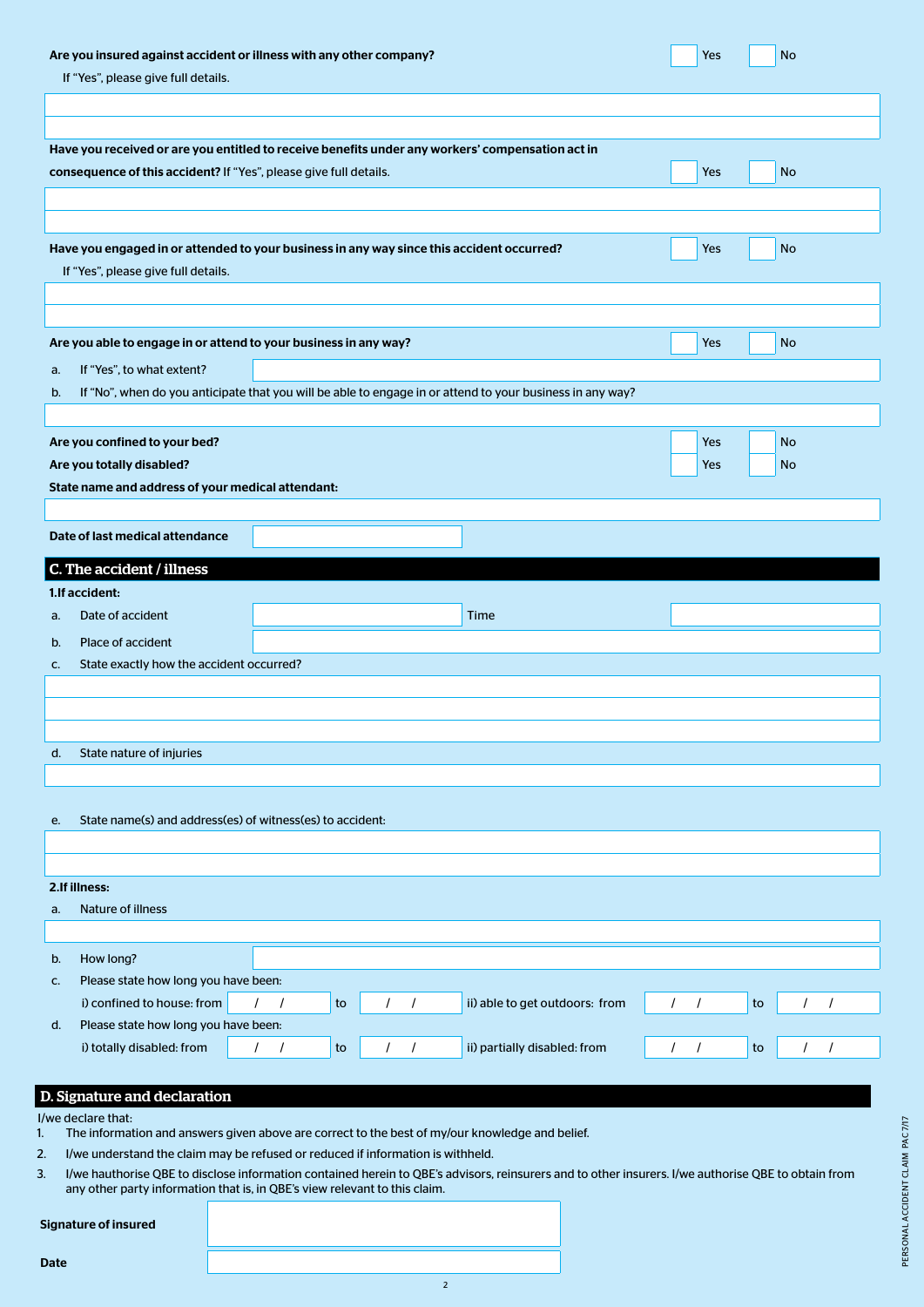| Are you insured against accident or illness with any other company?<br>If "Yes", please give full details. |                                                                                                           |                      |    |                      |                                |          |            |    | No        |  |
|------------------------------------------------------------------------------------------------------------|-----------------------------------------------------------------------------------------------------------|----------------------|----|----------------------|--------------------------------|----------|------------|----|-----------|--|
|                                                                                                            |                                                                                                           |                      |    |                      |                                |          |            |    |           |  |
|                                                                                                            |                                                                                                           |                      |    |                      |                                |          |            |    |           |  |
|                                                                                                            | Have you received or are you entitled to receive benefits under any workers' compensation act in          |                      |    |                      |                                |          |            |    |           |  |
|                                                                                                            | consequence of this accident? If "Yes", please give full details.                                         |                      |    |                      |                                |          | <b>Yes</b> |    | No        |  |
|                                                                                                            |                                                                                                           |                      |    |                      |                                |          |            |    |           |  |
|                                                                                                            |                                                                                                           |                      |    |                      |                                |          |            |    |           |  |
|                                                                                                            | Have you engaged in or attended to your business in any way since this accident occurred?                 |                      |    |                      |                                |          | Yes        |    | No        |  |
|                                                                                                            | If "Yes", please give full details.                                                                       |                      |    |                      |                                |          |            |    |           |  |
|                                                                                                            |                                                                                                           |                      |    |                      |                                |          |            |    |           |  |
|                                                                                                            |                                                                                                           |                      |    |                      |                                |          |            |    |           |  |
|                                                                                                            | Are you able to engage in or attend to your business in any way?                                          |                      |    |                      |                                |          | Yes        |    | <b>No</b> |  |
| a.                                                                                                         | If "Yes", to what extent?                                                                                 |                      |    |                      |                                |          |            |    |           |  |
| b.                                                                                                         | If "No", when do you anticipate that you will be able to engage in or attend to your business in any way? |                      |    |                      |                                |          |            |    |           |  |
|                                                                                                            |                                                                                                           |                      |    |                      |                                |          |            |    |           |  |
|                                                                                                            | Are you confined to your bed?                                                                             |                      |    |                      |                                |          | <b>Yes</b> |    | <b>No</b> |  |
|                                                                                                            | Are you totally disabled?                                                                                 |                      |    |                      |                                |          | Yes        |    | <b>No</b> |  |
|                                                                                                            | State name and address of your medical attendant:                                                         |                      |    |                      |                                |          |            |    |           |  |
|                                                                                                            |                                                                                                           |                      |    |                      |                                |          |            |    |           |  |
|                                                                                                            | Date of last medical attendance                                                                           |                      |    |                      |                                |          |            |    |           |  |
|                                                                                                            |                                                                                                           |                      |    |                      |                                |          |            |    |           |  |
|                                                                                                            | C. The accident / illness                                                                                 |                      |    |                      |                                |          |            |    |           |  |
|                                                                                                            | 1. If accident:                                                                                           |                      |    |                      |                                |          |            |    |           |  |
| a.                                                                                                         | Date of accident                                                                                          |                      |    |                      | Time                           |          |            |    |           |  |
| b.                                                                                                         | Place of accident                                                                                         |                      |    |                      |                                |          |            |    |           |  |
| c.                                                                                                         | State exactly how the accident occurred?                                                                  |                      |    |                      |                                |          |            |    |           |  |
|                                                                                                            |                                                                                                           |                      |    |                      |                                |          |            |    |           |  |
|                                                                                                            |                                                                                                           |                      |    |                      |                                |          |            |    |           |  |
|                                                                                                            |                                                                                                           |                      |    |                      |                                |          |            |    |           |  |
| d.                                                                                                         | State nature of injuries                                                                                  |                      |    |                      |                                |          |            |    |           |  |
|                                                                                                            |                                                                                                           |                      |    |                      |                                |          |            |    |           |  |
| е.                                                                                                         | State name(s) and address(es) of witness(es) to accident:                                                 |                      |    |                      |                                |          |            |    |           |  |
|                                                                                                            |                                                                                                           |                      |    |                      |                                |          |            |    |           |  |
|                                                                                                            |                                                                                                           |                      |    |                      |                                |          |            |    |           |  |
|                                                                                                            | 2.If illness:                                                                                             |                      |    |                      |                                |          |            |    |           |  |
| a.                                                                                                         | Nature of illness                                                                                         |                      |    |                      |                                |          |            |    |           |  |
|                                                                                                            |                                                                                                           |                      |    |                      |                                |          |            |    |           |  |
| b.                                                                                                         | How long?                                                                                                 |                      |    |                      |                                |          |            |    |           |  |
| c.                                                                                                         | Please state how long you have been:                                                                      |                      |    |                      |                                |          |            |    |           |  |
|                                                                                                            | i) confined to house: from                                                                                | $\prime$             | to |                      | ii) able to get outdoors: from | $\prime$ |            | to |           |  |
| d.                                                                                                         | Please state how long you have been:                                                                      |                      |    |                      |                                |          |            |    |           |  |
|                                                                                                            | i) totally disabled: from                                                                                 | $\prime$<br>$\prime$ | to | $\prime$<br>$\prime$ | ii) partially disabled: from   | $\prime$ | $\prime$   | to |           |  |
|                                                                                                            |                                                                                                           |                      |    |                      |                                |          |            |    |           |  |
|                                                                                                            | D. Signature and declaration                                                                              |                      |    |                      |                                |          |            |    |           |  |
|                                                                                                            |                                                                                                           |                      |    |                      |                                |          |            |    |           |  |

- 2. I/we understand the claim may be refused or reduced if information is withheld.
- 3. I/we hauthorise QBE to disclose information contained herein to QBE's advisors, reinsurers and to other insurers. I/we authorise QBE to obtain from any other party information that is, in QBE's view relevant to this claim.

2

#### Signature of insured

I